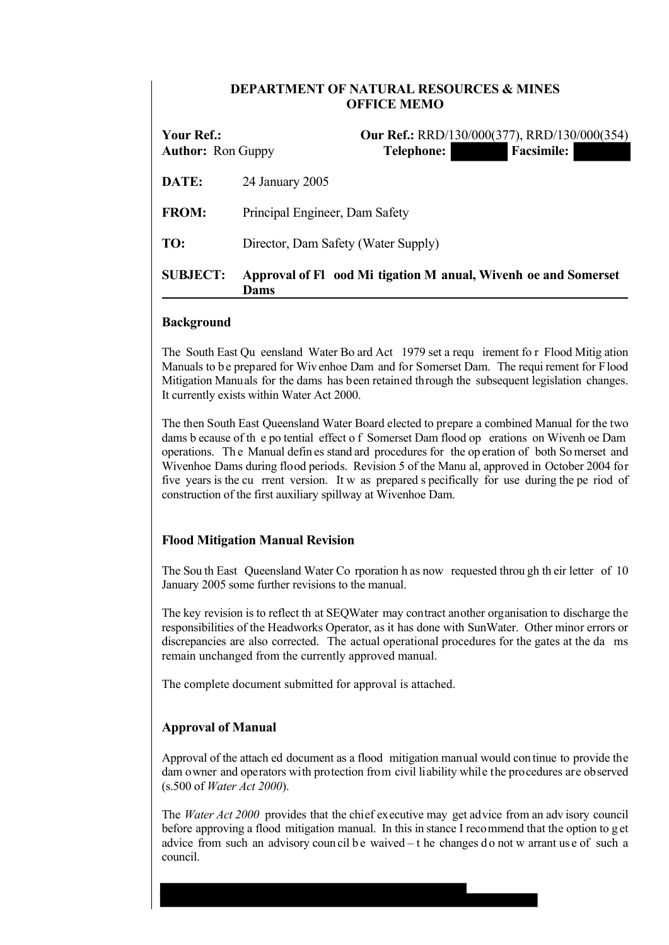## **DEPARTMENT OF NATURAL RESOURCES & MINES OFFICE MEMO**

| Your Ref.:<br><b>Author:</b> Ron Guppy | <b>Our Ref.:</b> RRD/130/000(377), RRD/130/000(354)<br><b>Facsimile:</b><br>Telephone: |
|----------------------------------------|----------------------------------------------------------------------------------------|
| DATE:                                  | 24 January 2005                                                                        |
| <b>FROM:</b>                           | Principal Engineer, Dam Safety                                                         |
| TO:                                    | Director, Dam Safety (Water Supply)                                                    |
| <b>SUBJECT:</b>                        | Approval of Fl ood Mi tigation M anual, Wivenh oe and Somerset<br>Dams                 |

## **Background**

The South East Qu eensland Water Bo ard Act 1979 set a requ irement fo r Flood Mitig ation Manuals to be prepared for Wivenhoe Dam and for Somerset Dam. The requi rement for Flood Mitigation Manuals for the dams has been retained through the subsequent legislation changes. It currently exists within Water Act 2000.

The then South East Queensland Water Board elected to prepare a combined Manual for the two dams b ecause of th e po tential effect o f Somerset Dam flood op erations on Wivenh oe Dam operations. Th e Manual defin es stand ard procedures for the op eration of both So merset and Wivenhoe Dams during flood periods. Revision 5 of the Manu al, approved in October 2004 for five years is the cu rrent version. It w as prepared s pecifically for use during the pe riod of construction of the first auxiliary spillway at Wivenhoe Dam.

## **Flood Mitigation Manual Revision**

The Sou th East Queensland Water Co rporation h as now requested throu gh th eir letter of 10 January 2005 some further revisions to the manual.

The key revision is to reflect th at SEQWater may contract another organisation to discharge the responsibilities of the Headworks Operator, as it has done with SunWater. Other minor errors or discrepancies are also corrected. The actual operational procedures for the gates at the da ms remain unchanged from the currently approved manual.

The complete document submitted for approval is attached.

# **Approval of Manual**

Approval of the attach ed document as a flood mitigation manual would con tinue to provide the dam owner and operators with protection from civil liability while the procedures are observed (s.500 of *Water Act 2000*).

The *Water Act 2000* provides that the chief executive may get advice from an adv isory council before approving a flood mitigation manual. In this in stance I recommend that the option to g et advice from such an advisory coun cil be waived  $-$  t he changes do not w arrant use of such a council.